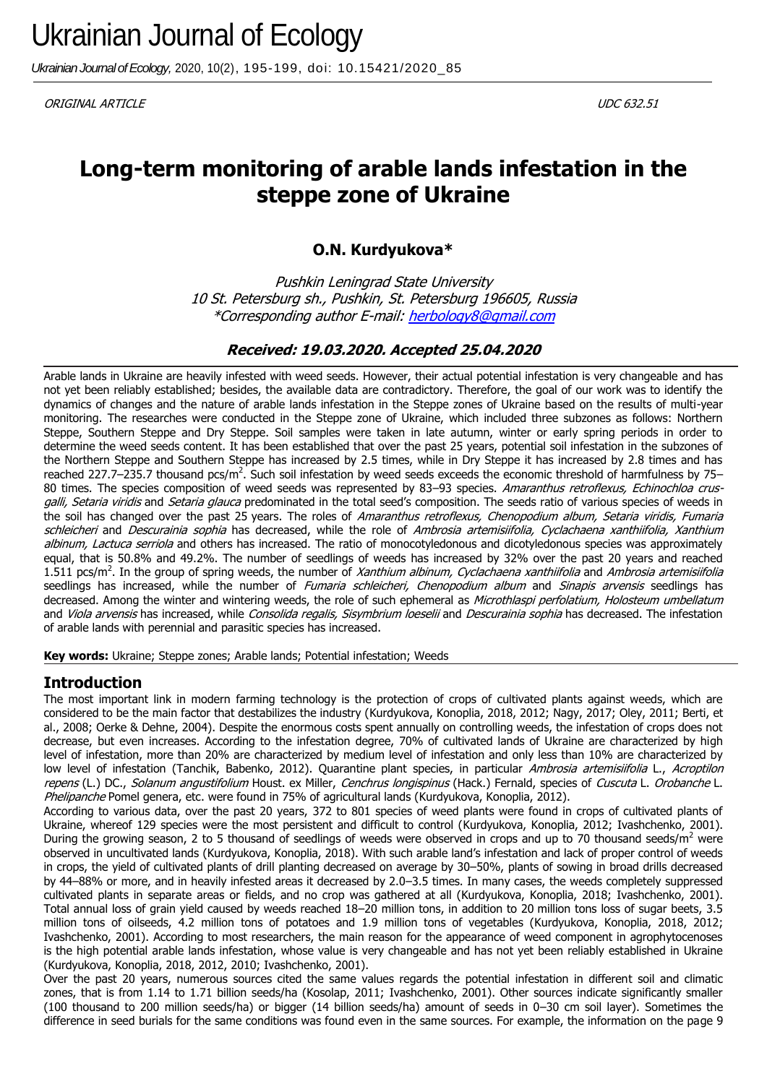*Ukrainian Journal of Ecology,* 2020, 10(2), 195-199, doi: 10.15421/2020\_85

ORIGINAL ARTICLE UDC 632.51

# **Long-term monitoring of arable lands infestation in the steppe zone of Ukraine**

# **O.N. Kurdyukova\***

Pushkin Leningrad State University 10 St. Petersburg sh., Pushkin, St. Petersburg 196605, Russia \*Corresponding author E-mail: herbology8@gmail.com

# **Received: 19.03.2020. Accepted 25.04.2020**

Arable lands in Ukraine are heavily infested with weed seeds. However, their actual potential infestation is very changeable and has not yet been reliably established; besides, the available data are contradictory. Therefore, the goal of our work was to identify the dynamics of changes and the nature of arable lands infestation in the Steppe zones of Ukraine based on the results of multi-year monitoring. The researches were conducted in the Steppe zone of Ukraine, which included three subzones as follows: Northern Steppe, Southern Steppe and Dry Steppe. Soil samples were taken in late autumn, winter or early spring periods in order to determine the weed seeds content. It has been established that over the past 25 years, potential soil infestation in the subzones of the Northern Steppe and Southern Steppe has increased by 2.5 times, while in Dry Steppe it has increased by 2.8 times and has reached 227.7–235.7 thousand pcs/m<sup>2</sup>. Such soil infestation by weed seeds exceeds the economic threshold of harmfulness by 75– 80 times. The species composition of weed seeds was represented by 83–93 species. Amaranthus retroflexus, Echinochloa crusgalli, Setaria viridis and Setaria glauca predominated in the total seed's composition. The seeds ratio of various species of weeds in the soil has changed over the past 25 years. The roles of Amaranthus retroflexus, Chenopodium album, Setaria viridis, Fumaria schleicheri and Descurainia sophia has decreased, while the role of Ambrosia artemisiifolia, Cyclachaena xanthiifolia, Xanthium albinum, Lactuca serriola and others has increased. The ratio of monocotyledonous and dicotyledonous species was approximately equal, that is 50.8% and 49.2%. The number of seedlings of weeds has increased by 32% over the past 20 years and reached 1.511 pcs/m<sup>2</sup>. In the group of spring weeds, the number of *Xanthium albinum, Cyclachaena xanthiifolia* and Ambrosia artemisiifolia seedlings has increased, while the number of Fumaria schleicheri, Chenopodium album and Sinapis arvensis seedlings has decreased. Among the winter and wintering weeds, the role of such ephemeral as Microthlaspi perfolatium, Holosteum umbellatum and Viola arvensis has increased, while Consolida regalis, Sisymbrium loeselii and Descurainia sophia has decreased. The infestation of arable lands with perennial and parasitic species has increased.

**Key words:** Ukraine; Steppe zones; Arable lands; Potential infestation; Weeds

# **Introduction**

The most important link in modern farming technology is the protection of crops of cultivated plants against weeds, which are considered to be the main factor that destabilizes the industry (Kurdyukova, Konoplia, 2018, 2012; Nagy, 2017; Oley, 2011; Berti, et al., 2008; Oerke & Dehne, 2004). Despite the enormous costs spent annually on controlling weeds, the infestation of crops does not decrease, but even increases. According to the infestation degree, 70% of cultivated lands of Ukraine are characterized by high level of infestation, more than 20% are characterized by medium level of infestation and only less than 10% are characterized by low level of infestation (Tanchik, Babenko, 2012). Quarantine plant species, in particular Ambrosia artemisiifolia L., Acroptilon repens (L.) DC., Solanum angustifolium Houst. ex Miller, Cenchrus longispinus (Hack.) Fernald, species of Cuscuta L. Orobanche L. Phelipanche Pomel genera, etc. were found in 75% of agricultural lands (Kurdyukova, Konoplia, 2012).

According to various data, over the past 20 years, 372 to 801 species of weed plants were found in crops of cultivated plants of Ukraine, whereof 129 species were the most persistent and difficult to control (Kurdyukova, Konoplia, 2012; Ivashchenko, 2001). During the growing season, 2 to 5 thousand of seedlings of weeds were observed in crops and up to 70 thousand seeds/ $m<sup>2</sup>$  were observed in uncultivated lands (Kurdyukova, Konoplia, 2018). With such arable land's infestation and lack of proper control of weeds in crops, the yield of cultivated plants of drill planting decreased on average by 30–50%, plants of sowing in broad drills decreased by 44–88% or more, and in heavily infested areas it decreased by 2.0–3.5 times. In many cases, the weeds completely suppressed cultivated plants in separate areas or fields, and no crop was gathered at all (Kurdyukova, Konoplia, 2018; Ivashchenko, 2001). Total annual loss of grain yield caused by weeds reached 18–20 million tons, in addition to 20 million tons loss of sugar beets, 3.5 million tons of oilseeds, 4.2 million tons of potatoes and 1.9 million tons of vegetables (Kurdyukova, Konoplia, 2018, 2012; Ivashchenko, 2001). According to most researchers, the main reason for the appearance of weed component in agrophytocenoses is the high potential arable lands infestation, whose value is very changeable and has not yet been reliably established in Ukraine (Kurdyukova, Konoplia, 2018, 2012, 2010; Ivashchenko, 2001).

Over the past 20 years, numerous sources cited the same values regards the potential infestation in different soil and climatic zones, that is from 1.14 to 1.71 billion seeds/ha (Kosolap, 2011; Ivashchenko, 2001). Other sources indicate significantly smaller (100 thousand to 200 million seeds/ha) or bigger (14 billion seeds/ha) amount of seeds in 0–30 cm soil layer). Sometimes the difference in seed burials for the same conditions was found even in the same sources. For example, the information on the page 9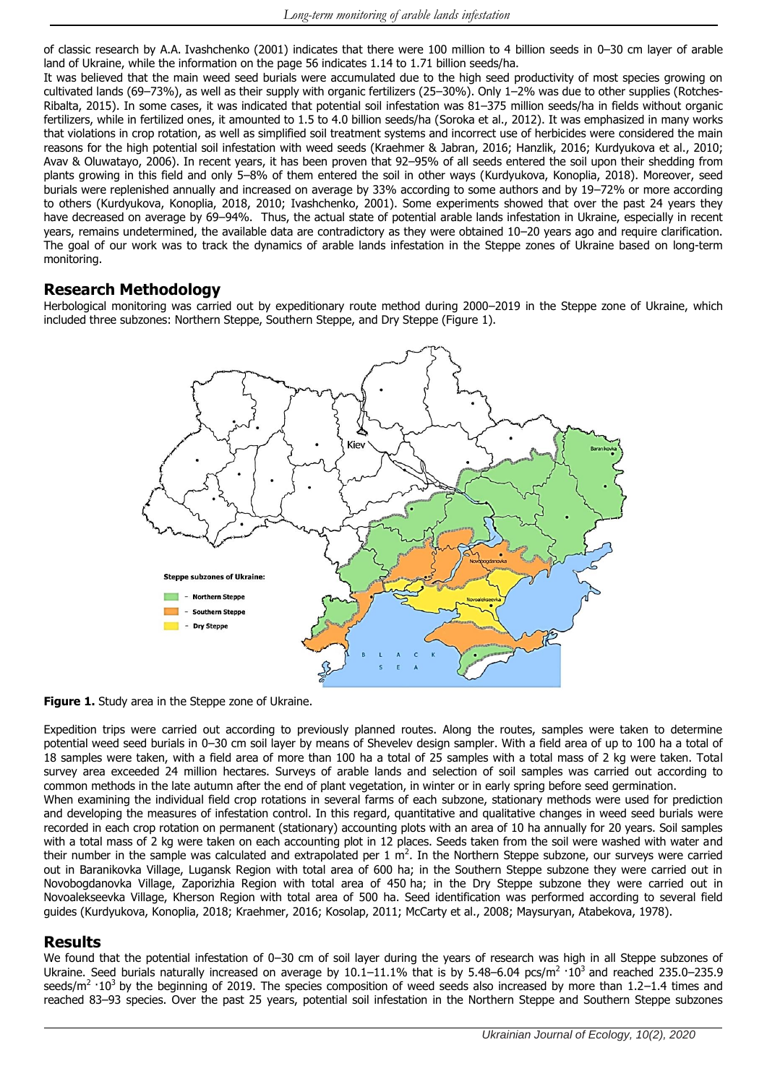of classic research by A.A. Ivashchenko (2001) indicates that there were 100 million to 4 billion seeds in 0–30 cm layer of arable land of Ukraine, while the information on the page 56 indicates 1.14 to 1.71 billion seeds/ha.

It was believed that the main weed seed burials were accumulated due to the high seed productivity of most species growing on cultivated lands (69–73%), as well as their supply with organic fertilizers (25–30%). Only 1–2% was due to other supplies (Rotches-Ribalta, 2015). In some cases, it was indicated that potential soil infestation was 81–375 million seeds/ha in fields without organic fertilizers, while in fertilized ones, it amounted to 1.5 to 4.0 billion seeds/ha (Soroka et al., 2012). It was emphasized in many works that violations in crop rotation, as well as simplified soil treatment systems and incorrect use of herbicides were considered the main reasons for the high potential soil infestation with weed seeds (Kraehmer & Jabran, 2016; Hanzlik, 2016; Kurdyukova et al., 2010; Avav & Oluwatayo, 2006). In recent years, it has been proven that 92–95% of all seeds entered the soil upon their shedding from plants growing in this field and only 5–8% of them entered the soil in other ways (Kurdyukova, Konoplia, 2018). Moreover, seed burials were replenished annually and increased on average by 33% according to some authors and by 19–72% or more according to others (Kurdyukova, Konoplia, 2018, 2010; Ivashchenko, 2001). Some experiments showed that over the past 24 years they have decreased on average by 69–94%. Thus, the actual state of potential arable lands infestation in Ukraine, especially in recent years, remains undetermined, the available data are contradictory as they were obtained 10–20 years ago and require clarification. The goal of our work was to track the dynamics of arable lands infestation in the Steppe zones of Ukraine based on long-term monitoring.

### **Research Methodology**

Herbological monitoring was carried out by expeditionary route method during 2000–2019 in the Steppe zone of Ukraine, which included three subzones: Northern Steppe, Southern Steppe, and Dry Steppe (Figure 1).



**Figure 1.** Study area in the Steppe zone of Ukraine.

Expedition trips were carried out according to previously planned routes. Along the routes, samples were taken to determine potential weed seed burials in 0–30 cm soil layer by means of Shevelev design sampler. With a field area of up to 100 ha a total of 18 samples were taken, with a field area of more than 100 ha a total of 25 samples with a total mass of 2 kg were taken. Total survey area exceeded 24 million hectares. Surveys of arable lands and selection of soil samples was carried out according to common methods in the late autumn after the end of plant vegetation, in winter or in early spring before seed germination. When examining the individual field crop rotations in several farms of each subzone, stationary methods were used for prediction and developing the measures of infestation control. In this regard, quantitative and qualitative changes in weed seed burials were recorded in each crop rotation on permanent (stationary) accounting plots with an area of 10 ha annually for 20 years. Soil samples with a total mass of 2 kg were taken on each accounting plot in 12 places. Seeds taken from the soil were washed with water and their number in the sample was calculated and extrapolated per  $1 \text{ m}^2$ . In the Northern Steppe subzone, our surveys were carried out in Baranikovka Village, Lugansk Region with total area of 600 ha; in the Southern Steppe subzone they were carried out in Novobogdanovka Village, Zaporizhia Region with total area of 450 ha; in the Dry Steppe subzone they were carried out in Novoalekseevka Village, Kherson Region with total area of 500 ha. Seed identification was performed according to several field guides (Kurdyukova, Konoplia, 2018; Kraehmer, 2016; Kosolap, 2011; McCarty et al., 2008; Maysuryan, Atabekova, 1978).

# **Results**

We found that the potential infestation of 0-30 cm of soil layer during the years of research was high in all Steppe subzones of Ukraine. Seed burials naturally increased on average by  $10.1-11.1\%$  that is by 5.48–6.04 pcs/m<sup>2</sup>·10<sup>3</sup> and reached 235.0–235.9 seeds/m<sup>2</sup> · 10<sup>3</sup> by the beginning of 2019. The species composition of weed seeds also increased by more than 1.2–1.4 times and reached 83–93 species. Over the past 25 years, potential soil infestation in the Northern Steppe and Southern Steppe subzones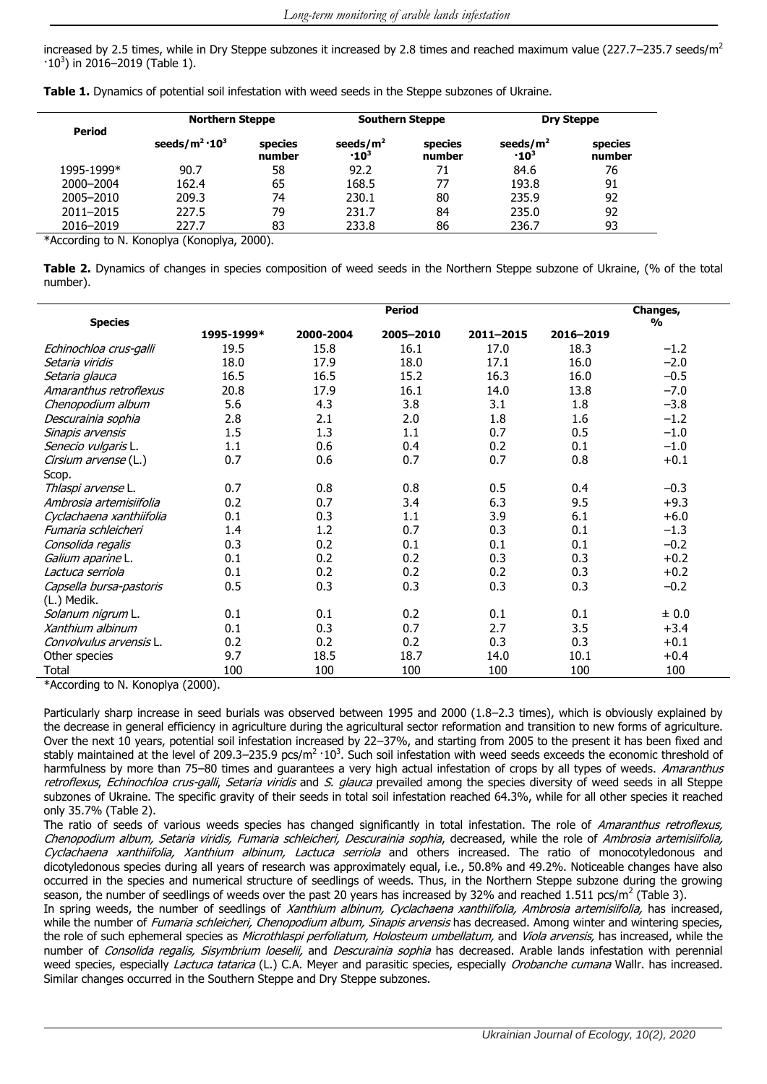increased by 2.5 times, while in Dry Steppe subzones it increased by 2.8 times and reached maximum value (227.7–235.7 seeds/m<sup>2</sup>  $\cdot$ 10<sup>3</sup>) in 2016-2019 (Table 1).

|  | Table 1. Dynamics of potential soil infestation with weed seeds in the Steppe subzones of Ukraine. |  |  |  |  |  |
|--|----------------------------------------------------------------------------------------------------|--|--|--|--|--|
|  |                                                                                                    |  |  |  |  |  |

| Period     | <b>Northern Steppe</b>  |                   | <b>Southern Steppe</b>                 |                   | <b>Dry Steppe</b>             |                   |
|------------|-------------------------|-------------------|----------------------------------------|-------------------|-------------------------------|-------------------|
|            | seeds/ $m^2 \cdot 10^3$ | species<br>number | seeds/ $m2$<br>$\cdot$ 10 <sup>3</sup> | species<br>number | seeds/ $m2$<br>$\cdot 10^{3}$ | species<br>number |
| 1995-1999* | 90.7                    | 58                | 92.2                                   | 71                | 84.6                          | 76                |
| 2000-2004  | 162.4                   | 65                | 168.5                                  | 77                | 193.8                         | 91                |
| 2005-2010  | 209.3                   | 74                | 230.1                                  | 80                | 235.9                         | 92                |
| 2011-2015  | 227.5                   | 79                | 231.7                                  | 84                | 235.0                         | 92                |
| 2016-2019  | 227.7                   | 83                | 233.8                                  | 86                | 236.7                         | 93                |

\*According to N. Konoplya (Konoplya, 2000).

**Table 2.** Dynamics of changes in species composition of weed seeds in the Northern Steppe subzone of Ukraine, (% of the total number).

|                          |            |                           | <b>Period</b> |           |           |           |
|--------------------------|------------|---------------------------|---------------|-----------|-----------|-----------|
| <b>Species</b>           |            | Changes,<br>$\frac{0}{0}$ |               |           |           |           |
|                          | 1995-1999* | 2000-2004                 | 2005-2010     | 2011-2015 | 2016-2019 |           |
| Echinochloa crus-galli   | 19.5       | 15.8                      | 16.1          | 17.0      | 18.3      | $-1.2$    |
| Setaria viridis          | 18.0       | 17.9                      | 18.0          | 17.1      | 16.0      | $-2.0$    |
| Setaria glauca           | 16.5       | 16.5                      | 15.2          | 16.3      | 16.0      | $-0.5$    |
| Amaranthus retroflexus   | 20.8       | 17.9                      | 16.1          | 14.0      | 13.8      | $-7.0$    |
| Chenopodium album        | 5.6        | 4.3                       | 3.8           | 3.1       | 1.8       | $-3.8$    |
| Descurainia sophia       | 2.8        | 2.1                       | 2.0           | 1.8       | 1.6       | $-1.2$    |
| Sinapis arvensis         | 1.5        | 1.3                       | 1.1           | 0.7       | 0.5       | $-1.0$    |
| Senecio vulgaris L.      | 1.1        | 0.6                       | 0.4           | 0.2       | 0.1       | $-1.0$    |
| Cirsium arvense (L.)     | 0.7        | 0.6                       | 0.7           | 0.7       | 0.8       | $+0.1$    |
| Scop.                    |            |                           |               |           |           |           |
| Thlaspi arvense L.       | 0.7        | 0.8                       | 0.8           | 0.5       | 0.4       | $-0.3$    |
| Ambrosia artemisiifolia  | 0.2        | 0.7                       | 3.4           | 6.3       | 9.5       | $+9.3$    |
| Cyclachaena xanthiifolia | 0.1        | 0.3                       | 1.1           | 3.9       | 6.1       | $+6.0$    |
| Fumaria schleicheri      | 1.4        | 1.2                       | 0.7           | 0.3       | 0.1       | $-1.3$    |
| Consolida regalis        | 0.3        | 0.2                       | 0.1           | 0.1       | 0.1       | $-0.2$    |
| Galium aparine L.        | 0.1        | 0.2                       | 0.2           | 0.3       | 0.3       | $+0.2$    |
| Lactuca serriola         | 0.1        | 0.2                       | 0.2           | 0.2       | 0.3       | $+0.2$    |
| Capsella bursa-pastoris  | 0.5        | 0.3                       | 0.3           | 0.3       | 0.3       | $-0.2$    |
| (L.) Medik.              |            |                           |               |           |           |           |
| Solanum nigrum L.        | 0.1        | 0.1                       | 0.2           | 0.1       | 0.1       | $\pm 0.0$ |
| Xanthium albinum         | 0.1        | 0.3                       | 0.7           | 2.7       | 3.5       | $+3.4$    |
| Convolvulus arvensis L.  | 0.2        | 0.2                       | 0.2           | 0.3       | 0.3       | $+0.1$    |
| Other species            | 9.7        | 18.5                      | 18.7          | 14.0      | 10.1      | $+0.4$    |
| Total                    | 100        | 100                       | 100           | 100       | 100       | 100       |

\*According to N. Konoplya (2000).

Particularly sharp increase in seed burials was observed between 1995 and 2000 (1.8–2.3 times), which is obviously explained by the decrease in general efficiency in agriculture during the agricultural sector reformation and transition to new forms of agriculture. Over the next 10 years, potential soil infestation increased by 22–37%, and starting from 2005 to the present it has been fixed and stably maintained at the level of 209.3–235.9 pcs/m<sup>2</sup>  $\cdot 10^3$ . Such soil infestation with weed seeds exceeds the economic threshold of harmfulness by more than 75–80 times and guarantees a very high actual infestation of crops by all types of weeds. Amaranthus retroflexus, Echinochloa crus-galli, Setaria viridis and S. glauca prevailed among the species diversity of weed seeds in all Steppe subzones of Ukraine. The specific gravity of their seeds in total soil infestation reached 64.3%, while for all other species it reached only 35.7% (Table 2).

The ratio of seeds of various weeds species has changed significantly in total infestation. The role of Amaranthus retroflexus, Chenopodium album, Setaria viridis, Fumaria schleicheri, Descurainia sophia, decreased, while the role of Ambrosia artemisiifolia, Cyclachaena xanthiifolia, Xanthium albinum, Lactuca serriola and others increased. The ratio of monocotyledonous and dicotyledonous species during all years of research was approximately equal, i.e., 50.8% and 49.2%. Noticeable changes have also occurred in the species and numerical structure of seedlings of weeds. Thus, in the Northern Steppe subzone during the growing season, the number of seedlings of weeds over the past 20 years has increased by 32% and reached 1.511 pcs/m<sup>2</sup> (Table 3).

In spring weeds, the number of seedlings of Xanthium albinum, Cyclachaena xanthiifolia, Ambrosia artemisiifolia, has increased, while the number of Fumaria schleicheri, Chenopodium album, Sinapis arvensis has decreased. Among winter and wintering species, the role of such ephemeral species as *Microthlaspi perfoliatum, Holosteum umbellatum,* and Viola arvensis, has increased, while the number of Consolida regalis, Sisymbrium loeselii, and Descurainia sophia has decreased. Arable lands infestation with perennial weed species, especially *Lactuca tatarica* (L.) C.A. Meyer and parasitic species, especially *Orobanche cumana* Wallr. has increased. Similar changes occurred in the Southern Steppe and Dry Steppe subzones.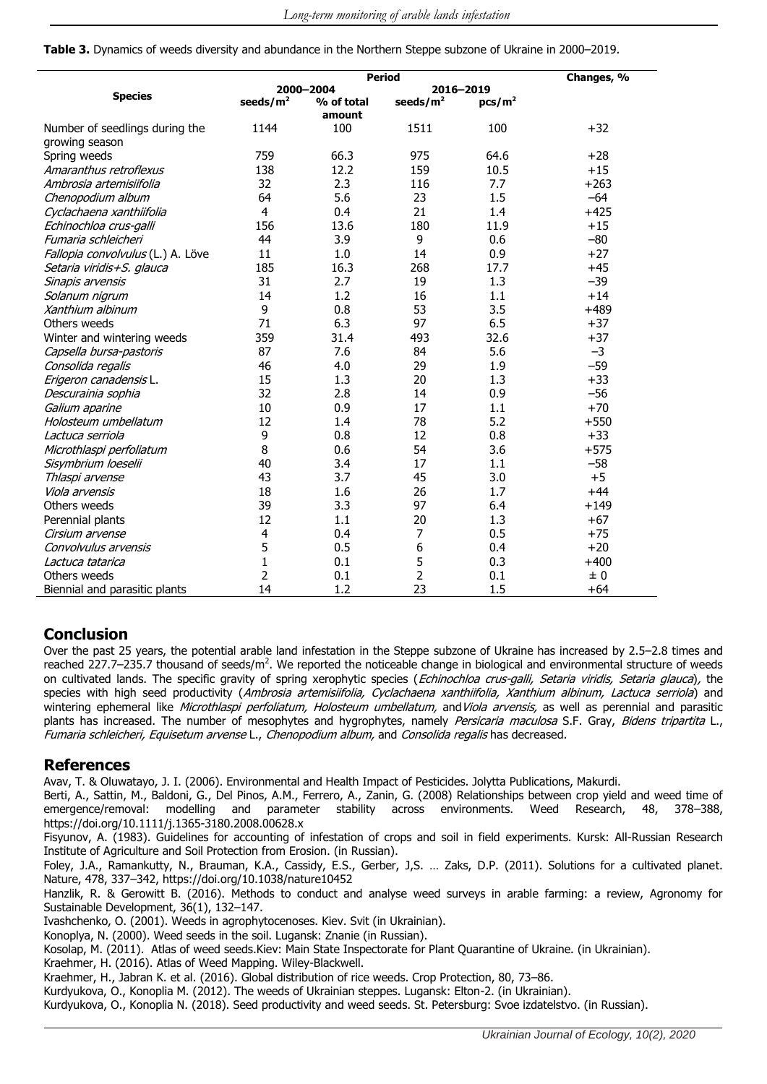**Table 3.** Dynamics of weeds diversity and abundance in the Northern Steppe subzone of Ukraine in 2000–2019.

|                                   |                | <b>Period</b>        |                |                    |        |  |  |
|-----------------------------------|----------------|----------------------|----------------|--------------------|--------|--|--|
|                                   |                | 2000-2004            | 2016-2019      | Changes, %         |        |  |  |
| <b>Species</b>                    | seeds/ $m2$    | % of total<br>amount | seeds/ $m2$    | pcs/m <sup>2</sup> |        |  |  |
| Number of seedlings during the    | 1144           | 100                  | 1511           | 100                | $+32$  |  |  |
| growing season                    |                |                      |                |                    |        |  |  |
| Spring weeds                      | 759            | 66.3                 | 975            | 64.6               | $+28$  |  |  |
| Amaranthus retroflexus            | 138            | 12.2                 | 159            | 10.5               | $+15$  |  |  |
| Ambrosia artemisiifolia           | 32             | 2.3                  | 116            | 7.7                | $+263$ |  |  |
| Chenopodium album                 | 64             | 5.6                  | 23             | 1.5                | $-64$  |  |  |
| Cyclachaena xanthiifolia          | $\overline{4}$ | 0.4                  | 21             | 1.4                | $+425$ |  |  |
| Echinochloa crus-galli            | 156            | 13.6                 | 180            | 11.9               | $+15$  |  |  |
| Fumaria schleicheri               | 44             | 3.9                  | 9              | 0.6                | $-80$  |  |  |
| Fallopia convolvulus (L.) A. Löve | 11             | 1.0                  | 14             | 0.9                | $+27$  |  |  |
| Setaria viridis+S. glauca         | 185            | 16.3                 | 268            | 17.7               | $+45$  |  |  |
| Sinapis arvensis                  | 31             | 2.7                  | 19             | 1.3                | $-39$  |  |  |
| Solanum nigrum                    | 14             | 1.2                  | 16             | 1.1                | $+14$  |  |  |
| Xanthium albinum                  | 9              | 0.8                  | 53             | 3.5                | $+489$ |  |  |
| Others weeds                      | 71             | 6.3                  | 97             | 6.5                | $+37$  |  |  |
| Winter and wintering weeds        | 359            | 31.4                 | 493            | 32.6               | $+37$  |  |  |
| Capsella bursa-pastoris           | 87             | 7.6                  | 84             | 5.6                | $-3$   |  |  |
| Consolida regalis                 | 46             | 4.0                  | 29             | 1.9                | $-59$  |  |  |
| Erigeron canadensis L.            | 15             | 1.3                  | 20             | 1.3                | $+33$  |  |  |
| Descurainia sophia                | 32             | 2.8                  | 14             | 0.9                | $-56$  |  |  |
| Galium aparine                    | 10             | 0.9                  | 17             | 1.1                | $+70$  |  |  |
| Holosteum umbellatum              | 12             | 1.4                  | 78             | 5.2                | $+550$ |  |  |
| Lactuca serriola                  | 9              | 0.8                  | 12             | 0.8                | $+33$  |  |  |
| Microthlaspi perfoliatum          | 8              | 0.6                  | 54             | 3.6                | $+575$ |  |  |
| Sisymbrium loeselii               | 40             | 3.4                  | 17             | 1.1                | $-58$  |  |  |
| Thlaspi arvense                   | 43             | 3.7                  | 45             | 3.0                | $+5$   |  |  |
| Viola arvensis                    | 18             | 1.6                  | 26             | 1.7                | $+44$  |  |  |
| Others weeds                      | 39             | 3.3                  | 97             | 6.4                | $+149$ |  |  |
| Perennial plants                  | 12             | 1.1                  | 20             | 1.3                | $+67$  |  |  |
| Cirsium arvense                   | $\overline{4}$ | 0.4                  | 7              | 0.5                | $+75$  |  |  |
| Convolvulus arvensis              | 5              | 0.5                  | 6              | 0.4                | $+20$  |  |  |
| Lactuca tatarica                  | $\mathbf{1}$   | 0.1                  | 5              | 0.3                | $+400$ |  |  |
| Others weeds                      | 2              | 0.1                  | $\overline{2}$ | 0.1                | ± 0    |  |  |
| Biennial and parasitic plants     | 14             | 1.2                  | 23             | 1.5                | $+64$  |  |  |

# **Conclusion**

Over the past 25 years, the potential arable land infestation in the Steppe subzone of Ukraine has increased by 2.5–2.8 times and reached 227.7–235.7 thousand of seeds/ $m^2$ . We reported the noticeable change in biological and environmental structure of weeds on cultivated lands. The specific gravity of spring xerophytic species (Echinochloa crus-galli, Setaria viridis, Setaria glauca), the species with high seed productivity (Ambrosia artemisiifolia, Cyclachaena xanthiifolia, Xanthium albinum, Lactuca serriola) and wintering ephemeral like Microthlaspi perfoliatum, Holosteum umbellatum, and Viola arvensis, as well as perennial and parasitic plants has increased. The number of mesophytes and hygrophytes, namely Persicaria maculosa S.F. Gray, Bidens tripartita L., Fumaria schleicheri, Equisetum arvense L., Chenopodium album, and Consolida regalis has decreased.

#### **References**

Avav, T. & Oluwatayo, J. I. (2006). Environmental and Health Impact of Pesticides. Jolytta Publications, Makurdi.

Berti, A., Sattin, M., Baldoni, G., Del Pinos, A.M., Ferrero, A., Zanin, G. (2008) Relationships between crop yield and weed time of emergence/removal: modelling and parameter stability across environments. Weed Research, 48, 378–388, https://doi.org/10.1111/j.1365-3180.2008.00628.x

Fisyunov, А. (1983). Guidelines for accounting of infestation of crops and soil in field experiments. Kursk: All-Russian Research Institute of Agriculture and Soil Protection from Erosion. (in Russian).

Foley, J.A., Ramankutty, N., Brauman, K.A., Cassidy, E.S., Gerber, J,S. … Zaks, D.P. (2011). Solutions for a cultivated planet. Nature, 478, 337–342, https://doi.org/10.1038/nature10452

Hanzlik, R. & Gerowitt B. (2016). Methods to conduct and analyse weed surveys in arable farming: a review, Agronomy for Sustainable Development, 36(1), 132–147.

Ivashchenko, О. (2001). Weeds in agrophytocenoses. Kiev. Svit (in Ukrainian).

Konoplya, N. (2000). Weed seeds in the soil. Lugansk: Znanie (in Russian).

Kosolap, M. (2011). Atlas of weed seeds.Kiev: Main State Inspectorate for Plant Quarantine of Ukraine. (in Ukrainian).

Kraehmer, H. (2016). Atlas of Weed Mapping. Wiley-Blackwell.

Kraehmer, H., Jabran K. et al. (2016). Global distribution of rice weeds. Crop Protection, 80, 73–86.

Kurdyukova, O., Konoplia M. (2012). The weeds of Ukrainian steppes. Lugansk: Elton-2. (in Ukrainian).

Kurdyukova, O., Konoplia N. (2018). Seed productivity and weed seeds. St. Petersburg: Svoe izdatelstvo. (in Russian).